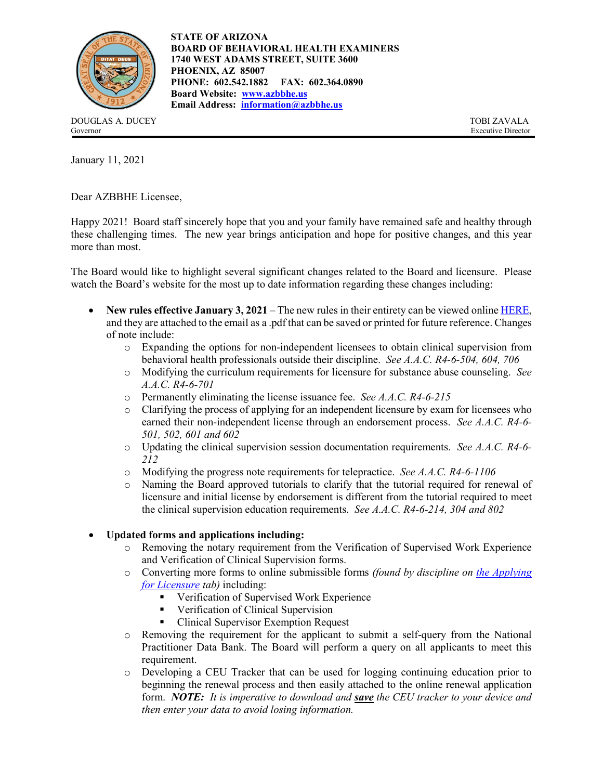

**STATE OF ARIZONA BOARD OF BEHAVIORAL HEALTH EXAMINERS 1740 WEST ADAMS STREET, SUITE 3600 PHOENIX, AZ 85007 PHONE: 602.542.1882 FAX: 602.364.0890 Board Website: [www.azbbhe.us](http://www.azbbhe.us/) Email Address: [information@azbbhe.us](mailto:information@azbbhe.us)**

DOUGLAS A. DUCEY TOBI ZAVALA Governor Executive Director

January 11, 2021

Dear AZBBHE Licensee,

Happy 2021! Board staff sincerely hope that you and your family have remained safe and healthy through these challenging times. The new year brings anticipation and hope for positive changes, and this year more than most.

The Board would like to highlight several significant changes related to the Board and licensure. Please watch the Board's website for the most up to date information regarding these changes including:

- **New rules effective January 3, 2021** The new rules in their entirety can be viewed online [HERE,](https://azbbhe.us/pdfs/rules/proposedrules/FINAL%20BOARD%20RULES%20011221.pdf)  and they are attached to the email as a .pdf that can be saved or printed for future reference. Changes of note include:
	- o Expanding the options for non-independent licensees to obtain clinical supervision from behavioral health professionals outside their discipline. *See A.A.C. R4-6-504, 604, 706*
	- o Modifying the curriculum requirements for licensure for substance abuse counseling. *See A.A.C. R4-6-701*
	- o Permanently eliminating the license issuance fee. *See A.A.C. R4-6-215*
	- o Clarifying the process of applying for an independent licensure by exam for licensees who earned their non-independent license through an endorsement process. *See A.A.C. R4-6- 501, 502, 601 and 602*
	- o Updating the clinical supervision session documentation requirements. *See A.A.C. R4-6- 212*
	- o Modifying the progress note requirements for telepractice. *See A.A.C. R4-6-1106*
	- Naming the Board approved tutorials to clarify that the tutorial required for renewal of licensure and initial license by endorsement is different from the tutorial required to meet the clinical supervision education requirements. *See A.A.C. R4-6-214, 304 and 802*

## Updated forms and applications including:<br>  $\circ$  Removing the notary requirement from

- Removing the notary requirement from the Verification of Supervised Work Experience and Verification of Clinical Supervision forms.
- o Converting more forms to online submissible forms *(found by discipline on [the Applying](https://azbbhe.us/node/827)  [for Licensure](https://azbbhe.us/node/827) tab)* including:
	- **•** Verification of Supervised Work Experience
	- **•** Verification of Clinical Supervision
	- Clinical Supervisor Exemption Request
- o Removing the requirement for the applicant to submit a self-query from the National Practitioner Data Bank. The Board will perform a query on all applicants to meet this requirement.
- o Developing a CEU Tracker that can be used for logging continuing education prior to beginning the renewal process and then easily attached to the online renewal application form. *NOTE: It is imperative to download and save the CEU tracker to your device and then enter your data to avoid losing information.*